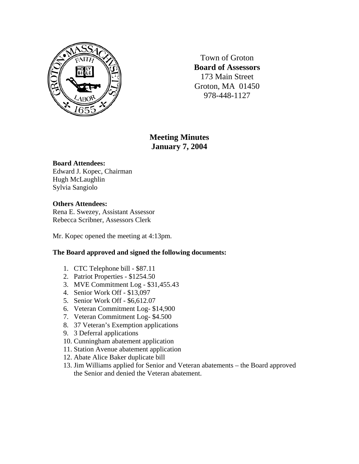

Town of Groton **Board of Assessors**  173 Main Street Groton, MA 01450 978-448-1127

# **Meeting Minutes January 7, 2004**

### **Board Attendees:**

Edward J. Kopec, Chairman Hugh McLaughlin Sylvia Sangiolo

### **Others Attendees:**

Rena E. Swezey, Assistant Assessor Rebecca Scribner, Assessors Clerk

Mr. Kopec opened the meeting at 4:13pm.

## **The Board approved and signed the following documents:**

- 1. CTC Telephone bill \$87.11
- 2. Patriot Properties \$1254.50
- 3. MVE Commitment Log \$31,455.43
- 4. Senior Work Off \$13,097
- 5. Senior Work Off \$6,612.07
- 6. Veteran Commitment Log- \$14,900
- 7. Veteran Commitment Log- \$4.500
- 8. 37 Veteran's Exemption applications
- 9. 3 Deferral applications
- 10. Cunningham abatement application
- 11. Station Avenue abatement application
- 12. Abate Alice Baker duplicate bill
- 13. Jim Williams applied for Senior and Veteran abatements the Board approved the Senior and denied the Veteran abatement.